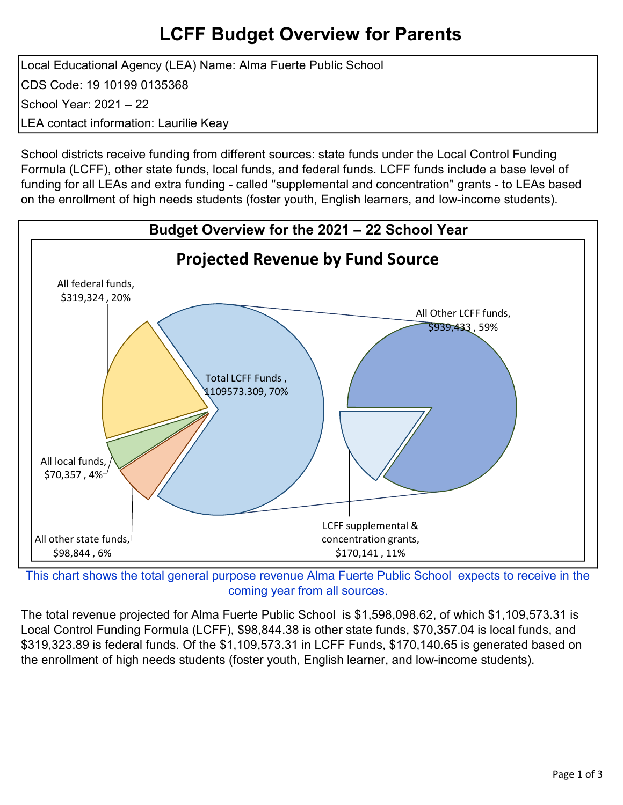## LCFF Budget Overview for Parents

Local Educational Agency (LEA) Name: Alma Fuerte Public School CDS Code: 19 10199 0135368 School Year: 2021 – 22 LEA contact information: Laurilie Keay

School districts receive funding from different sources: state funds under the Local Control Funding Formula (LCFF), other state funds, local funds, and federal funds. LCFF funds include a base level of funding for all LEAs and extra funding - called "supplemental and concentration" grants - to LEAs based on the enrollment of high needs students (foster youth, English learners, and low-income students).



This chart shows the total general purpose revenue Alma Fuerte Public School expects to receive in the coming year from all sources.

The total revenue projected for Alma Fuerte Public School is \$1,598,098.62, of which \$1,109,573.31 is Local Control Funding Formula (LCFF), \$98,844.38 is other state funds, \$70,357.04 is local funds, and \$319,323.89 is federal funds. Of the \$1,109,573.31 in LCFF Funds, \$170,140.65 is generated based on the enrollment of high needs students (foster youth, English learner, and low-income students).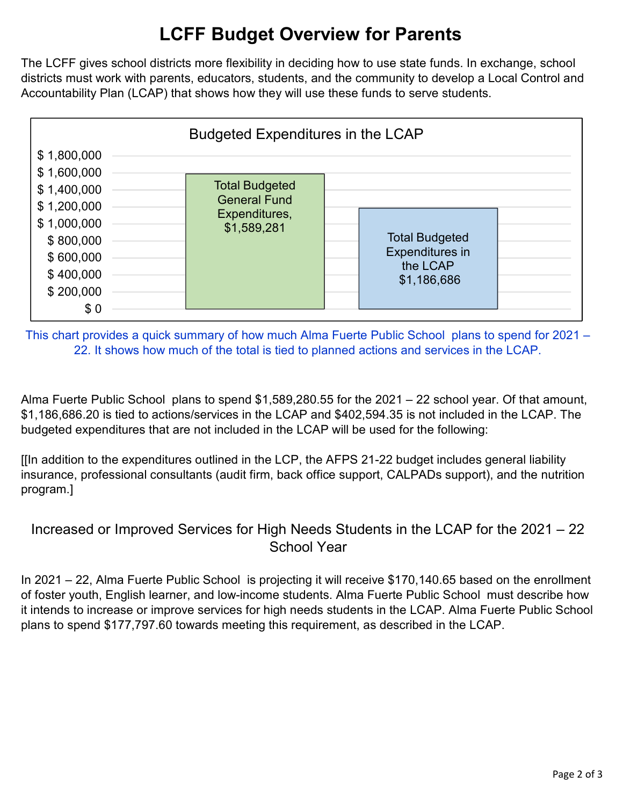# LCFF Budget Overview for Parents

The LCFF gives school districts more flexibility in deciding how to use state funds. In exchange, school districts must work with parents, educators, students, and the community to develop a Local Control and Accountability Plan (LCAP) that shows how they will use these funds to serve students.



This chart provides a quick summary of how much Alma Fuerte Public School plans to spend for 2021 – 22. It shows how much of the total is tied to planned actions and services in the LCAP.

Alma Fuerte Public School plans to spend \$1,589,280.55 for the 2021 – 22 school year. Of that amount, \$1,186,686.20 is tied to actions/services in the LCAP and \$402,594.35 is not included in the LCAP. The budgeted expenditures that are not included in the LCAP will be used for the following:

[[In addition to the expenditures outlined in the LCP, the AFPS 21-22 budget includes general liability insurance, professional consultants (audit firm, back office support, CALPADs support), and the nutrition program.]

### Increased or Improved Services for High Needs Students in the LCAP for the 2021 – 22 School Year

In 2021 – 22, Alma Fuerte Public School is projecting it will receive \$170,140.65 based on the enrollment of foster youth, English learner, and low-income students. Alma Fuerte Public School must describe how it intends to increase or improve services for high needs students in the LCAP. Alma Fuerte Public School plans to spend \$177,797.60 towards meeting this requirement, as described in the LCAP.